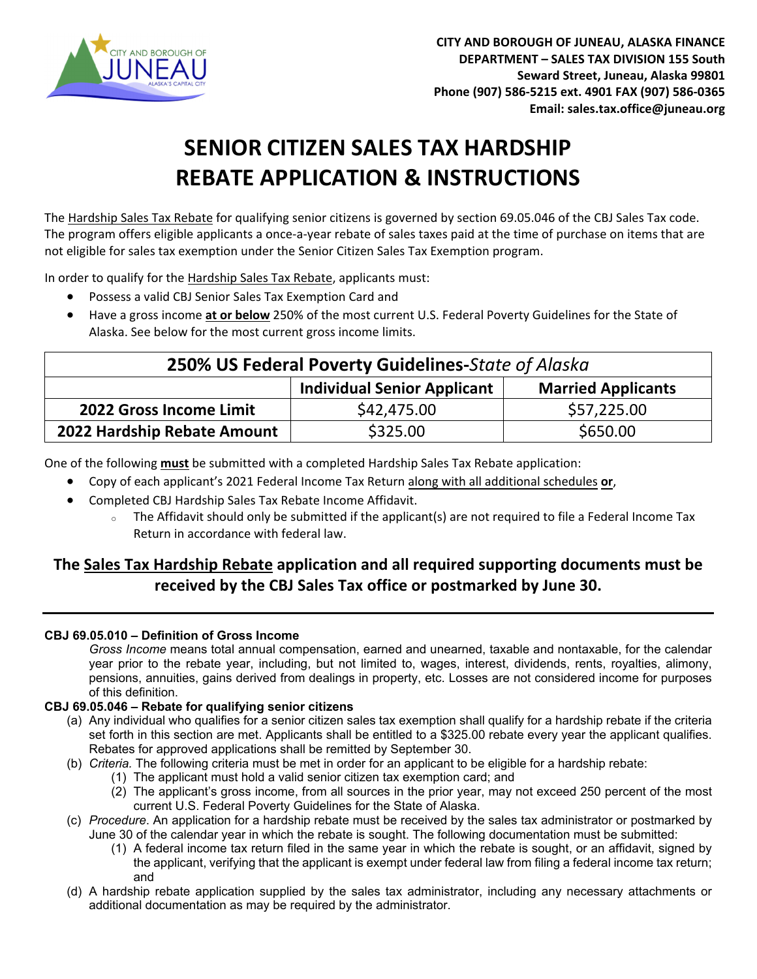

# **SENIOR CITIZEN SALES TAX HARDSHIP REBATE APPLICATION & INSTRUCTIONS**

The Hardship Sales Tax Rebate for qualifying senior citizens is governed by section 69.05.046 of the CBJ Sales Tax code. The program offers eligible applicants a once-a-year rebate of sales taxes paid at the time of purchase on items that are not eligible for sales tax exemption under the Senior Citizen Sales Tax Exemption program.

In order to qualify for the Hardship Sales Tax Rebate, applicants must:

- Possess a valid CBJ Senior Sales Tax Exemption Card and
- Have a gross income **at or below** 250% of the most current U.S. Federal Poverty Guidelines for the State of Alaska. See below for the most current gross income limits.

| 250% US Federal Poverty Guidelines-State of Alaska |                                    |                           |  |  |
|----------------------------------------------------|------------------------------------|---------------------------|--|--|
|                                                    | <b>Individual Senior Applicant</b> | <b>Married Applicants</b> |  |  |
| 2022 Gross Income Limit                            | \$42,475.00                        | \$57,225.00               |  |  |
| 2022 Hardship Rebate Amount                        | \$325.00                           | \$650.00                  |  |  |

One of the following **must** be submitted with a completed Hardship Sales Tax Rebate application:

- Copy of each applicant's 2021 Federal Income Tax Return along with all additional schedules **or**,
- Completed CBJ Hardship Sales Tax Rebate Income Affidavit.
	- <sup>o</sup> The Affidavit should only be submitted if the applicant(s) are not required to file a Federal Income Tax Return in accordance with federal law.

### **The Sales Tax Hardship Rebate application and all required supporting documents must be received by the CBJ Sales Tax office or postmarked by June 30.**

#### **CBJ 69.05.010 – Definition of Gross Income**

*Gross Income* means total annual compensation, earned and unearned, taxable and nontaxable, for the calendar year prior to the rebate year, including, but not limited to, wages, interest, dividends, rents, royalties, alimony, pensions, annuities, gains derived from dealings in property, etc. Losses are not considered income for purposes of this definition.

#### **CBJ 69.05.046 – Rebate for qualifying senior citizens**

- (a) Any individual who qualifies for a senior citizen sales tax exemption shall qualify for a hardship rebate if the criteria set forth in this section are met. Applicants shall be entitled to a \$325.00 rebate every year the applicant qualifies. Rebates for approved applications shall be remitted by September 30.
- (b) *Criteria.* The following criteria must be met in order for an applicant to be eligible for a hardship rebate:
	- (1) The applicant must hold a valid senior citizen tax exemption card; and
	- (2) The applicant's gross income, from all sources in the prior year, may not exceed 250 percent of the most current U.S. Federal Poverty Guidelines for the State of Alaska.
- (c) *Procedure*. An application for a hardship rebate must be received by the sales tax administrator or postmarked by June 30 of the calendar year in which the rebate is sought. The following documentation must be submitted:
	- (1) A federal income tax return filed in the same year in which the rebate is sought, or an affidavit, signed by the applicant, verifying that the applicant is exempt under federal law from filing a federal income tax return; and
- (d) A hardship rebate application supplied by the sales tax administrator, including any necessary attachments or additional documentation as may be required by the administrator.